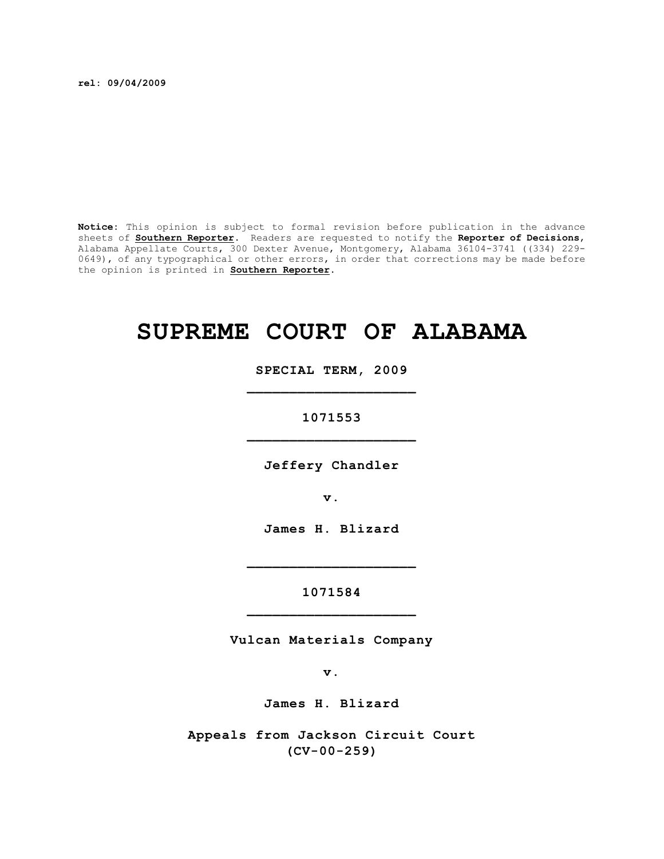**rel: 09/04/2009**

**Notice:** This opinion is subject to formal revision before publication in the advance sheets of **Southern Reporter**. Readers are requested to notify the **Reporter of Decisions**, Alabama Appellate Courts, 300 Dexter Avenue, Montgomery, Alabama 36104-3741 ((334) 229- 0649), of any typographical or other errors, in order that corrections may be made before the opinion is printed in **Southern Reporter**.

# **SUPREME COURT OF ALABAMA**

**SPECIAL TERM, 2009 \_\_\_\_\_\_\_\_\_\_\_\_\_\_\_\_\_\_\_\_**

**1071553 \_\_\_\_\_\_\_\_\_\_\_\_\_\_\_\_\_\_\_\_**

**Jeffery Chandler**

**v.**

**James H. Blizard**

**\_\_\_\_\_\_\_\_\_\_\_\_\_\_\_\_\_\_\_\_**

**1071584 \_\_\_\_\_\_\_\_\_\_\_\_\_\_\_\_\_\_\_\_**

**Vulcan Materials Company**

**v.**

**James H. Blizard**

**Appeals from Jackson Circuit Court (CV-00-259)**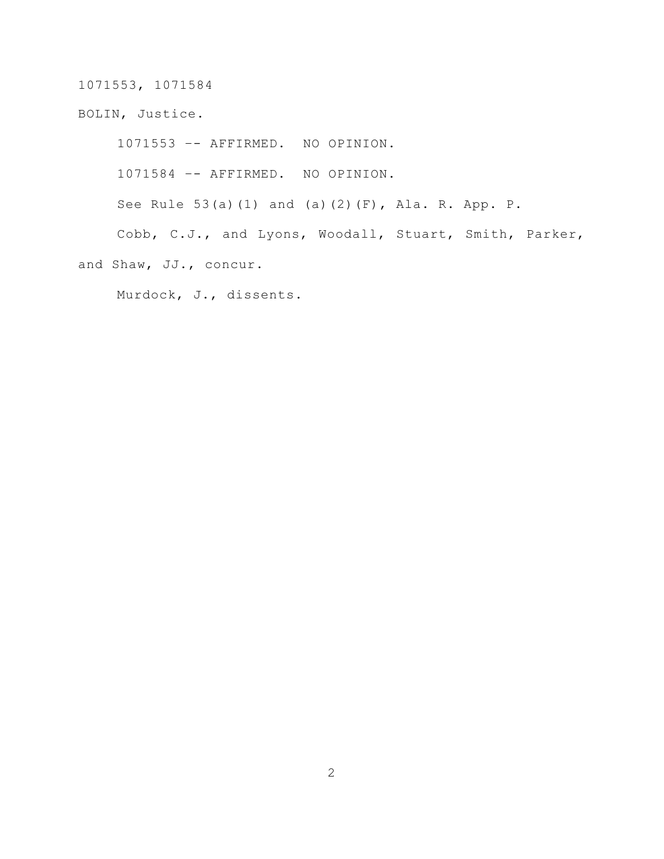BOLIN, Justice.

1071553 –- AFFIRMED. NO OPINION.

1071584 –- AFFIRMED. NO OPINION.

See Rule 53(a)(1) and (a)(2)(F), Ala. R. App. P.

Cobb, C.J., and Lyons, Woodall, Stuart, Smith, Parker, and Shaw, JJ., concur.

Murdock, J., dissents.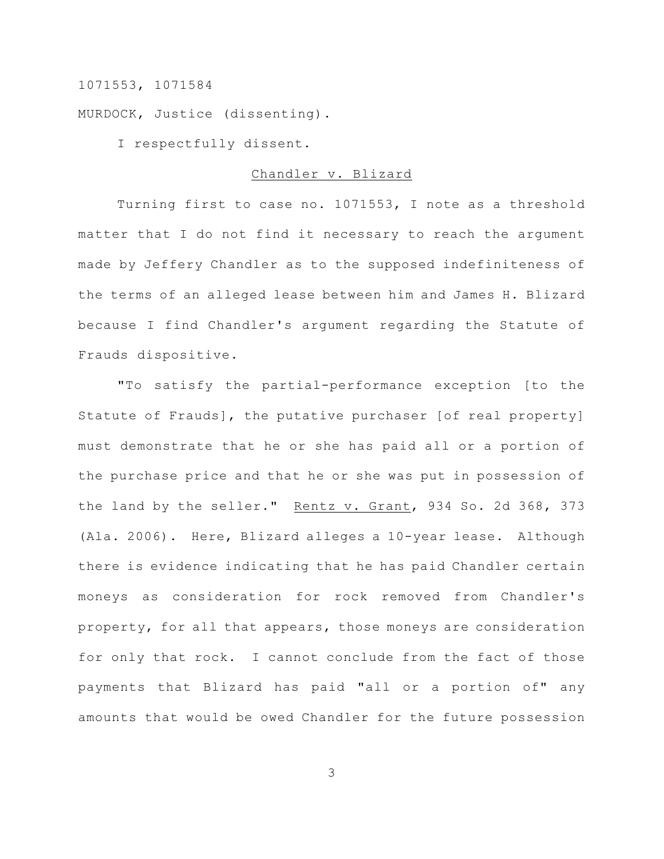MURDOCK, Justice (dissenting).

I respectfully dissent.

#### Chandler v. Blizard

Turning first to case no. 1071553, I note as a threshold matter that I do not find it necessary to reach the argument made by Jeffery Chandler as to the supposed indefiniteness of the terms of an alleged lease between him and James H. Blizard because I find Chandler's argument regarding the Statute of Frauds dispositive.

"To satisfy the partial-performance exception [to the Statute of Frauds], the putative purchaser [of real property] must demonstrate that he or she has paid all or a portion of the purchase price and that he or she was put in possession of the land by the seller." Rentz v. Grant, 934 So. 2d 368, 373 (Ala. 2006). Here, Blizard alleges a 10-year lease. Although there is evidence indicating that he has paid Chandler certain moneys as consideration for rock removed from Chandler's property, for all that appears, those moneys are consideration for only that rock. I cannot conclude from the fact of those payments that Blizard has paid "all or a portion of" any amounts that would be owed Chandler for the future possession

3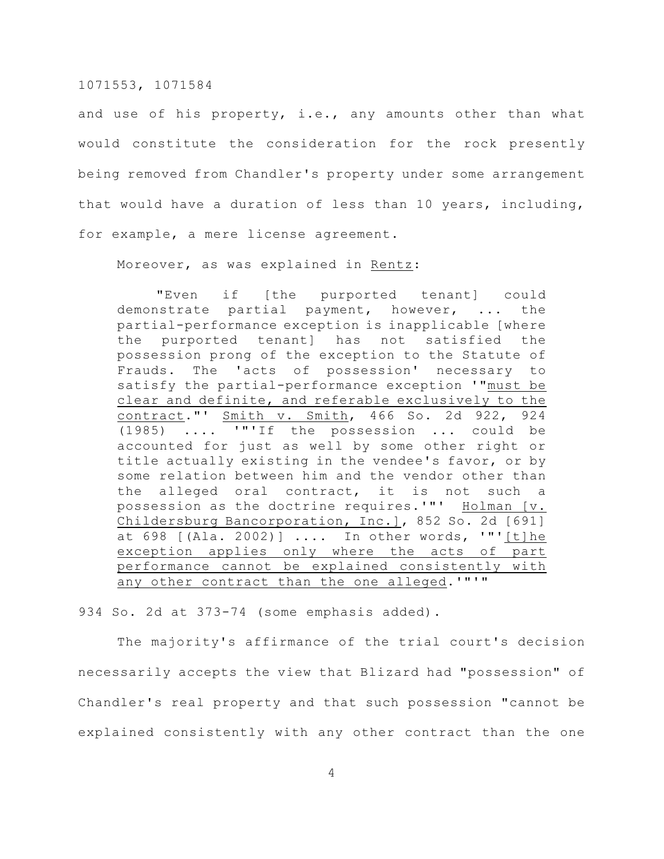and use of his property, i.e., any amounts other than what would constitute the consideration for the rock presently being removed from Chandler's property under some arrangement that would have a duration of less than 10 years, including, for example, a mere license agreement.

Moreover, as was explained in Rentz:

"Even if [the purported tenant] could demonstrate partial payment, however, ... the partial-performance exception is inapplicable [where the purported tenant] has not satisfied the possession prong of the exception to the Statute of Frauds. The 'acts of possession' necessary to satisfy the partial-performance exception '"must be clear and definite, and referable exclusively to the contract."' Smith v. Smith, 466 So. 2d 922, 924 (1985) .... '"'If the possession ... could be accounted for just as well by some other right or title actually existing in the vendee's favor, or by some relation between him and the vendor other than the alleged oral contract, it is not such a possession as the doctrine requires.'"' Holman [v. Childersburg Bancorporation, Inc.], 852 So. 2d [691] at 698 [(Ala. 2002)] .... In other words, '"'[t]he exception applies only where the acts of part performance cannot be explained consistently with any other contract than the one alleged.'"'"

934 So. 2d at 373-74 (some emphasis added).

The majority's affirmance of the trial court's decision necessarily accepts the view that Blizard had "possession" of Chandler's real property and that such possession "cannot be explained consistently with any other contract than the one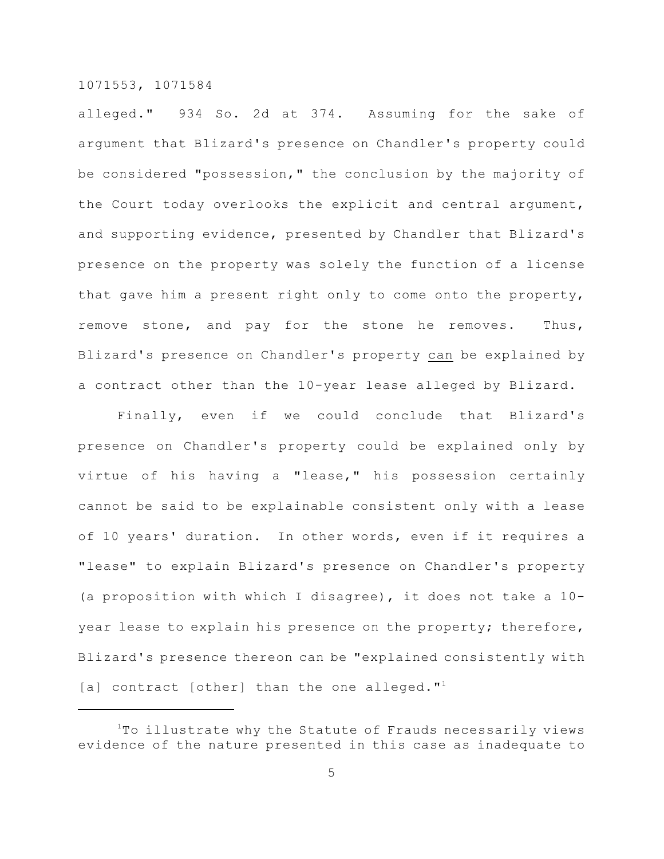alleged." 934 So. 2d at 374. Assuming for the sake of argument that Blizard's presence on Chandler's property could be considered "possession," the conclusion by the majority of the Court today overlooks the explicit and central argument, and supporting evidence, presented by Chandler that Blizard's presence on the property was solely the function of a license that gave him a present right only to come onto the property, remove stone, and pay for the stone he removes. Thus, Blizard's presence on Chandler's property can be explained by a contract other than the 10-year lease alleged by Blizard.

Finally, even if we could conclude that Blizard's presence on Chandler's property could be explained only by virtue of his having a "lease," his possession certainly cannot be said to be explainable consistent only with a lease of 10 years' duration. In other words, even if it requires a "lease" to explain Blizard's presence on Chandler's property (a proposition with which I disagree), it does not take a 10 year lease to explain his presence on the property; therefore, Blizard's presence thereon can be "explained consistently with [a] contract [other] than the one alleged." $1$ 

 $1$ To illustrate why the Statute of Frauds necessarily views evidence of the nature presented in this case as inadequate to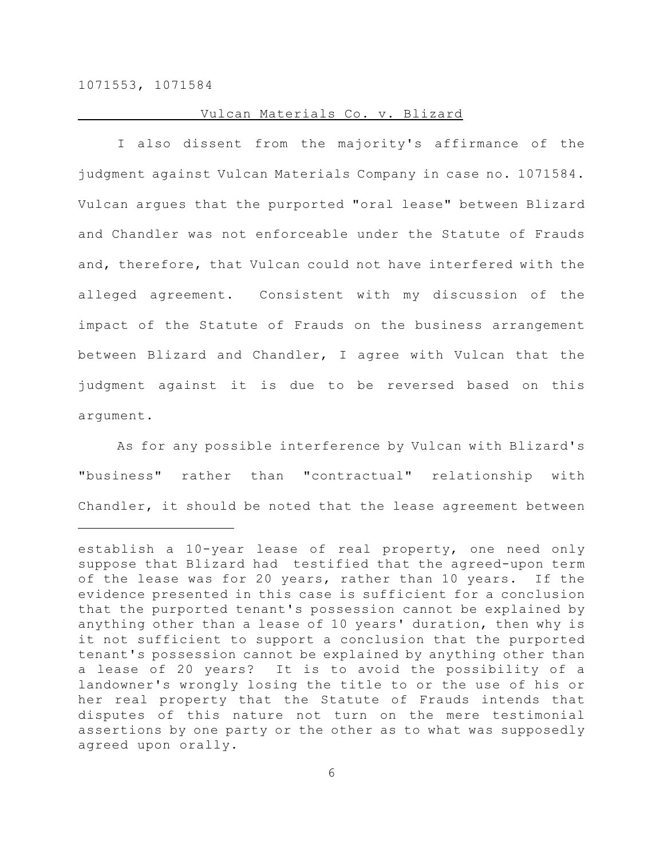## Vulcan Materials Co. v. Blizard

I also dissent from the majority's affirmance of the judgment against Vulcan Materials Company in case no. 1071584. Vulcan argues that the purported "oral lease" between Blizard and Chandler was not enforceable under the Statute of Frauds and, therefore, that Vulcan could not have interfered with the alleged agreement. Consistent with my discussion of the impact of the Statute of Frauds on the business arrangement between Blizard and Chandler, I agree with Vulcan that the judgment against it is due to be reversed based on this argument.

As for any possible interference by Vulcan with Blizard's "business" rather than "contractual" relationship with Chandler, it should be noted that the lease agreement between

establish a 10-year lease of real property, one need only suppose that Blizard had testified that the agreed-upon term of the lease was for 20 years, rather than 10 years. If the evidence presented in this case is sufficient for a conclusion that the purported tenant's possession cannot be explained by anything other than a lease of 10 years' duration, then why is it not sufficient to support a conclusion that the purported tenant's possession cannot be explained by anything other than a lease of 20 years? It is to avoid the possibility of a landowner's wrongly losing the title to or the use of his or her real property that the Statute of Frauds intends that disputes of this nature not turn on the mere testimonial assertions by one party or the other as to what was supposedly agreed upon orally.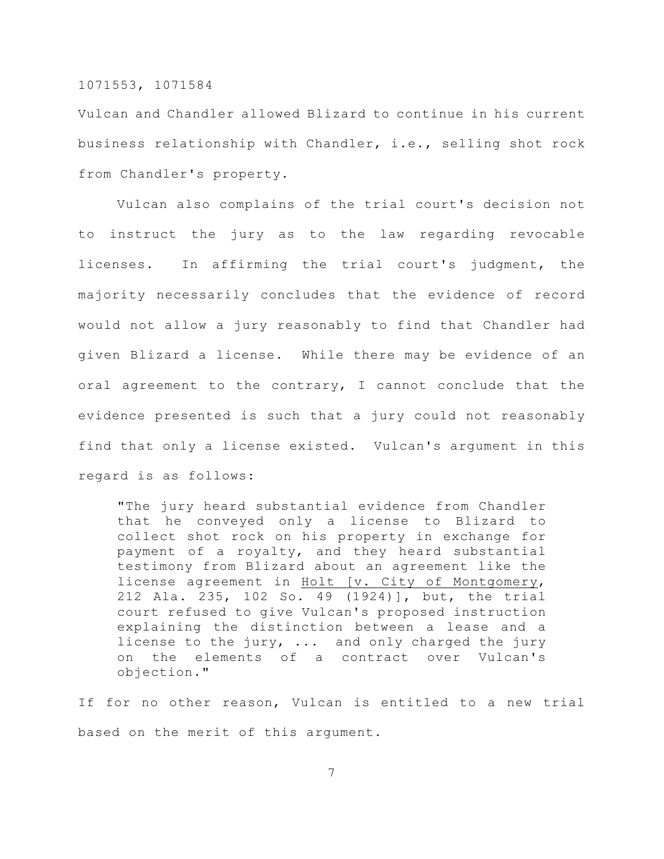Vulcan and Chandler allowed Blizard to continue in his current business relationship with Chandler, i.e., selling shot rock from Chandler's property.

Vulcan also complains of the trial court's decision not to instruct the jury as to the law regarding revocable licenses. In affirming the trial court's judgment, the majority necessarily concludes that the evidence of record would not allow a jury reasonably to find that Chandler had given Blizard a license. While there may be evidence of an oral agreement to the contrary, I cannot conclude that the evidence presented is such that a jury could not reasonably find that only a license existed. Vulcan's argument in this regard is as follows:

"The jury heard substantial evidence from Chandler that he conveyed only a license to Blizard to collect shot rock on his property in exchange for payment of a royalty, and they heard substantial testimony from Blizard about an agreement like the license agreement in Holt [v. City of Montgomery, 212 Ala. 235, 102 So. 49 (1924)], but, the trial court refused to give Vulcan's proposed instruction explaining the distinction between a lease and a license to the jury, ... and only charged the jury on the elements of a contract over Vulcan's objection."

If for no other reason, Vulcan is entitled to a new trial based on the merit of this argument.

7